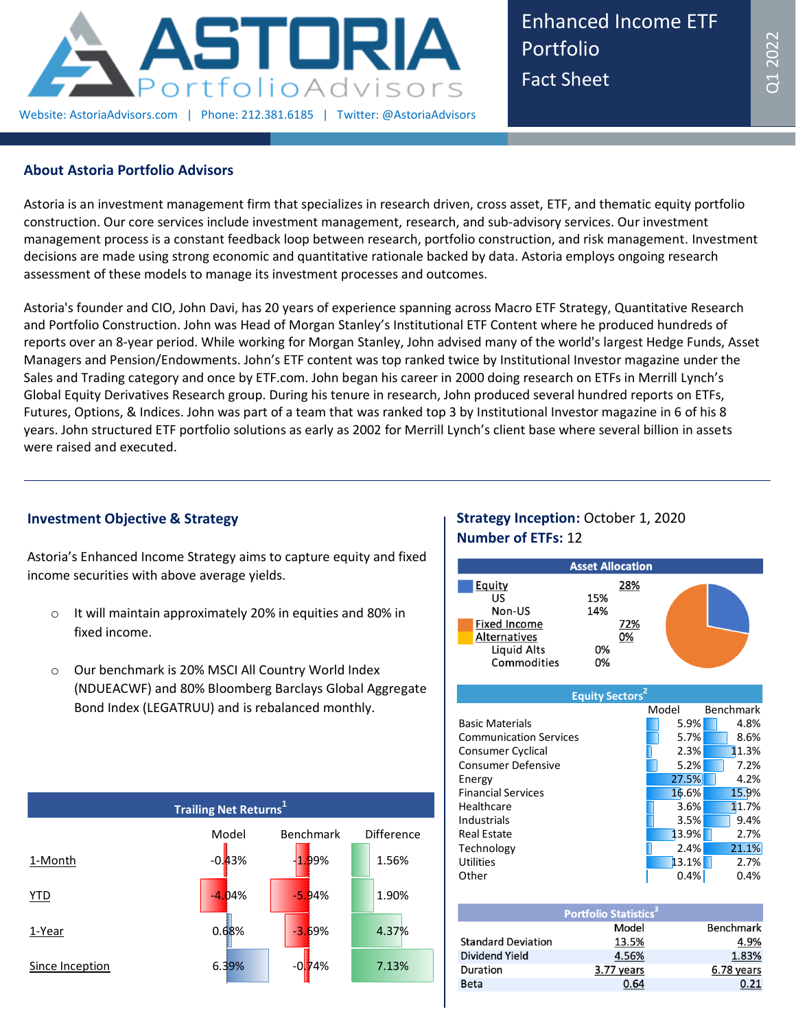

Enhanced Income ETF Portfolio Fact Sheet

## **About Astoria Portfolio Advisors**

Astoria is an investment management firm that specializes in research driven, cross asset, ETF, and thematic equity portfolio construction. Our core services include investment management, research, and sub-advisory services. Our investment management process is a constant feedback loop between research, portfolio construction, and risk management. Investment decisions are made using strong economic and quantitative rationale backed by data. Astoria employs ongoing research assessment of these models to manage its investment processes and outcomes.

Astoria's founder and CIO, John Davi, has 20 years of experience spanning across Macro ETF Strategy, Quantitative Research and Portfolio Construction. John was Head of Morgan Stanley's Institutional ETF Content where he produced hundreds of reports over an 8-year period. While working for Morgan Stanley, John advised many of the world's largest Hedge Funds, Asset Managers and Pension/Endowments. John's ETF content was top ranked twice by Institutional Investor magazine under the Sales and Trading category and once by ETF.com. John began his career in 2000 doing research on ETFs in Merrill Lynch's Global Equity Derivatives Research group. During his tenure in research, John produced several hundred reports on ETFs, Futures, Options, & Indices. John was part of a team that was ranked top 3 by Institutional Investor magazine in 6 of his 8 years. John structured ETF portfolio solutions as early as 2002 for Merrill Lynch's client base where several billion in assets were raised and executed.

## **Investment Objective & Strategy**

Astoria's Enhanced Income Strategy aims to capture equity and fixed income securities with above average yields.

- o It will maintain approximately 20% in equities and 80% in fixed income.
- o Our benchmark is 20% MSCI All Country World Index (NDUEACWF) and 80% Bloomberg Barclays Global Aggregate Bond Index (LEGATRUU) and is rebalanced monthly.



# **Strategy Inception:** October 1, 2020 **Number of ETFs:** 12

|                     | <b>Asset Allocation</b> |  |
|---------------------|-------------------------|--|
| <b>Equity</b>       | 28%                     |  |
| US                  | 15%                     |  |
| Non-US              | 14%                     |  |
| <b>Fixed Income</b> | 72%                     |  |
| <b>Alternatives</b> | 0%                      |  |
| Liquid Alts         | 0%                      |  |
| Commodities         | 0%                      |  |

| <b>Equity Sectors</b> <sup>2</sup> |       |           |
|------------------------------------|-------|-----------|
|                                    | Model | Benchmark |
| <b>Basic Materials</b>             | 5.9%  | 4.8%      |
| <b>Communication Services</b>      | 5.7%  | 8.6%      |
| Consumer Cyclical                  | 2.3%  | 11.3%     |
| <b>Consumer Defensive</b>          | 5.2%  | 7.2%      |
| Energy                             | 27.5% | 4.2%      |
| <b>Financial Services</b>          | 16.6% | 15.9%     |
| Healthcare                         | 3.6%  | 11.7%     |
| Industrials                        | 3.5%  | 9.4%      |
| Real Estate                        | 13.9% | 2.7%      |
| Technology                         | 2.4%  | 21.1%     |
| <b>Utilities</b>                   | 13.1% | 2.7%      |
| Other                              | 0.4%  | 0.4%      |

| Portfolio Statistics <sup>3</sup> |            |                  |  |
|-----------------------------------|------------|------------------|--|
|                                   | Model      | <b>Benchmark</b> |  |
| <b>Standard Deviation</b>         | 13.5%      | 4.9%             |  |
| Dividend Yield                    | 4.56%      | 1.83%            |  |
| Duration                          | 3.77 years | 6.78 years       |  |
| <b>Beta</b>                       | 0.64       | 0.21             |  |